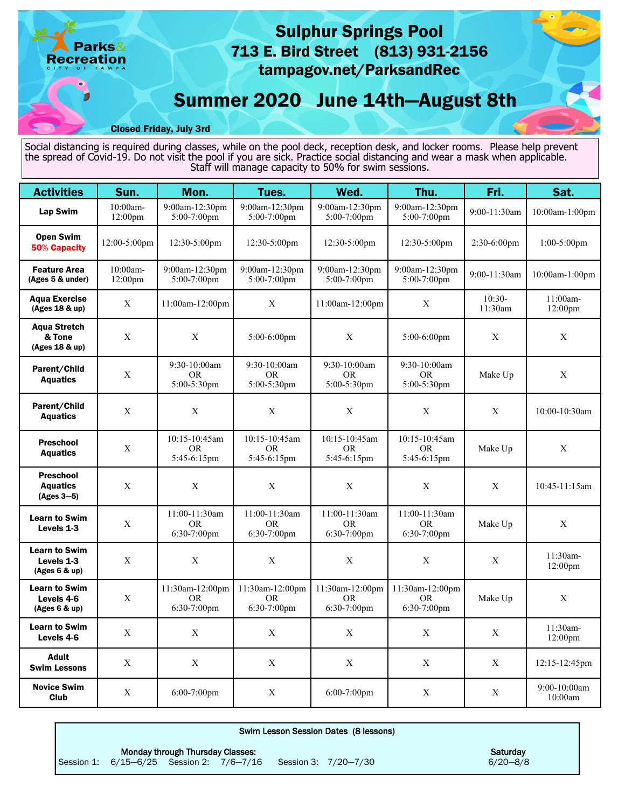# Sulphur Springs Pool 713 E. Bird Street (813) 931-2156 arks $\&$ **Recreation** tampagov.net/ParksandRec Summer 2020 June 14th—August 8th П Closed Friday, July 3rd

Social distancing is required during classes, while on the pool deck, reception desk, and locker rooms. Please help prevent the spread of Covid-19. Do not visit the pool if you are sick. Practice social distancing and wear a mask when applicable. Staff will manage capacity to 50% for swim sessions.

| <b>Activities</b>                                              | Sun.                | Mon.                                         | Tues.                                     | Wed.                                     | Thu.                                      | Fri.                | Sat.                            |
|----------------------------------------------------------------|---------------------|----------------------------------------------|-------------------------------------------|------------------------------------------|-------------------------------------------|---------------------|---------------------------------|
| Lap Swim                                                       | 10:00am-<br>12:00pm | 9:00am-12:30pm<br>5:00-7:00pm                | 9:00am-12:30pm<br>$5:00-7:00$ pm          | 9:00am-12:30pm<br>5:00-7:00pm            | 9:00am-12:30pm<br>5:00-7:00pm             | 9:00-11:30am        | 10:00am-1:00pm                  |
| <b>Open Swim</b><br>12:00-5:00pm<br><b>50% Capacity</b>        |                     | 12:30-5:00pm                                 | 12:30-5:00pm                              | 12:30-5:00pm                             | 12:30-5:00pm                              | $2:30-6:00$ pm      | $1:00-5:00$ pm                  |
| 10:00am-<br><b>Feature Area</b><br>(Ages 5 & under)<br>12:00pm |                     | 9:00am-12:30pm<br>$5:00-7:00$ pm             | 9:00am-12:30pm<br>5:00-7:00pm             | 9:00am-12:30pm<br>$5:00-7:00$ pm         | 9:00am-12:30pm<br>$5:00-7:00$ pm          | 9:00-11:30am        | 10:00am-1:00pm                  |
| <b>Agua Exercise</b><br>(Ages 18 & up)                         | X                   | 11:00am-12:00pm                              | $\mathbf{X}$                              | 11:00am-12:00pm                          | X                                         | $10:30-$<br>11:30am | $11:00am -$<br>12:00pm          |
| <b>Aqua Stretch</b><br>& Tone<br>(Ages 18 & up)                | $\mathbf X$         | $\mathbf X$                                  | 5:00-6:00pm                               | $\mathbf X$                              | $5:00-6:00$ pm                            | $\mathbf X$         | X                               |
| Parent/Child<br><b>Aquatics</b>                                | X                   | 9:30-10:00am<br><b>OR</b><br>5:00-5:30pm     | 9:30-10:00am<br><b>OR</b><br>5:00-5:30pm  | 9:30-10:00am<br><b>OR</b><br>5:00-5:30pm | 9:30-10:00am<br><b>OR</b><br>5:00-5:30pm  | Make Up             | $\mathbf X$                     |
| Parent/Child<br><b>Aquatics</b>                                | X                   | $\mathbf X$                                  | $\mathbf X$                               | $\mathbf X$                              | $\mathbf X$                               | $\mathbf X$         | 10:00-10:30am                   |
| <b>Preschool</b><br><b>Aquatics</b>                            | X                   | 10:15-10:45am<br>OR.<br>5:45-6:15pm          | 10:15-10:45am<br><b>OR</b><br>5:45-6:15pm | 10:15-10:45am<br>OR.<br>5:45-6:15pm      | 10:15-10:45am<br><b>OR</b><br>5:45-6:15pm | Make Up             | $\mathbf X$                     |
| <b>Preschool</b><br><b>Aquatics</b><br>$(Ages 3-5)$            | X                   | X                                            | $\mathbf X$                               | $\mathbf X$                              | X                                         | X                   | 10:45-11:15am                   |
| <b>Learn to Swim</b><br>Levels 1-3                             | $\mathbf X$         | 11:00-11:30am<br><b>OR</b><br>$6:30-7:00$ pm | 11:00-11:30am<br><b>OR</b><br>6:30-7:00pm | 11:00-11:30am<br>OR.<br>6:30-7:00pm      | 11:00-11:30am<br><b>OR</b><br>6:30-7:00pm | Make Up             | $\mathbf X$                     |
| <b>Learn to Swim</b><br>Levels 1-3<br>(Ages 6 & up)            | X                   | $\mathbf X$                                  | $\mathbf X$                               | X                                        | $\boldsymbol{\mathrm{X}}$                 | $\mathbf X$         | 11:30am-<br>12:00pm             |
| <b>Learn to Swim</b><br>Levels 4-6<br>(Ages 6 & up)            | X                   | 11:30am-12:00pm<br>OR.<br>6:30-7:00pm        | 11:30am-12:00pm<br>OR.<br>6:30-7:00pm     | 11:30am-12:00pm<br>OR.<br>6:30-7:00pm    | 11:30am-12:00pm<br>OR.<br>6:30-7:00pm     | Make Up             | X                               |
| <b>Learn to Swim</b><br>Levels 4-6                             | X                   | X                                            | X                                         | X                                        | X                                         | $\mathbf X$         | 11:30am-<br>12:00 <sub>pm</sub> |
| <b>Adult</b><br><b>Swim Lessons</b>                            | X                   | $\mathbf X$                                  | $\mathbf X$                               | $\mathbf X$                              | $\mathbf X$                               | $\mathbf X$         | 12:15-12:45pm                   |
| <b>Novice Swim</b><br>Club                                     | X                   | 6:00-7:00pm                                  | $\mathbf X$                               | 6:00-7:00pm                              | $\mathbf X$                               | X                   | 9:00-10:00am<br>10:00am         |

| Swim Lesson Session Dates (8 lessons) |                                          |                                  |  |  |                      |              |
|---------------------------------------|------------------------------------------|----------------------------------|--|--|----------------------|--------------|
|                                       |                                          | Monday through Thursday Classes: |  |  |                      | Saturday     |
|                                       | Session 1: 6/15-6/25 Session 2: 7/6-7/16 |                                  |  |  | Session 3: 7/20-7/30 | $6/20 - 8/8$ |